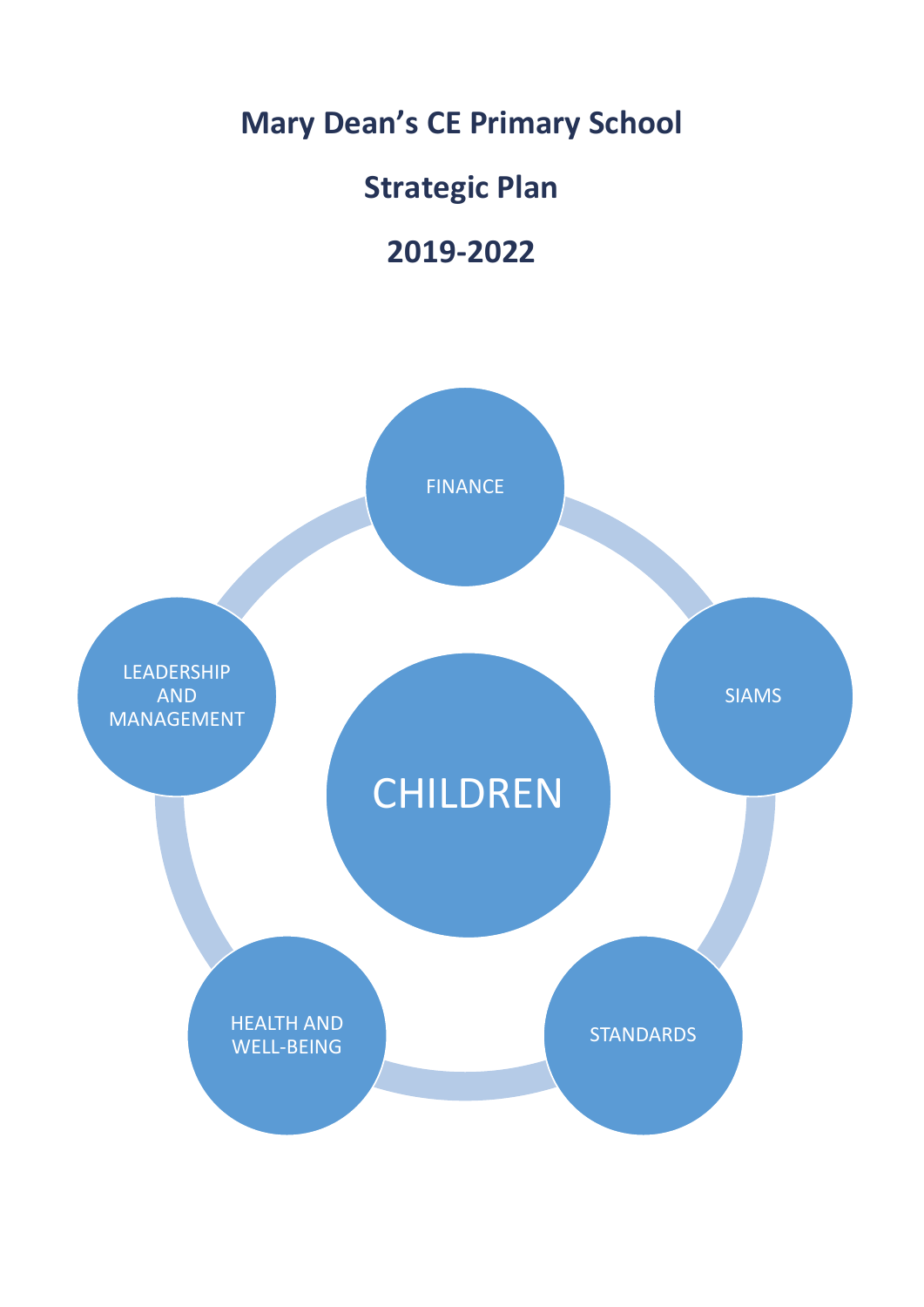## **Mary Dean's CE Primary School**

## **Strategic Plan**

## **2019-2022**

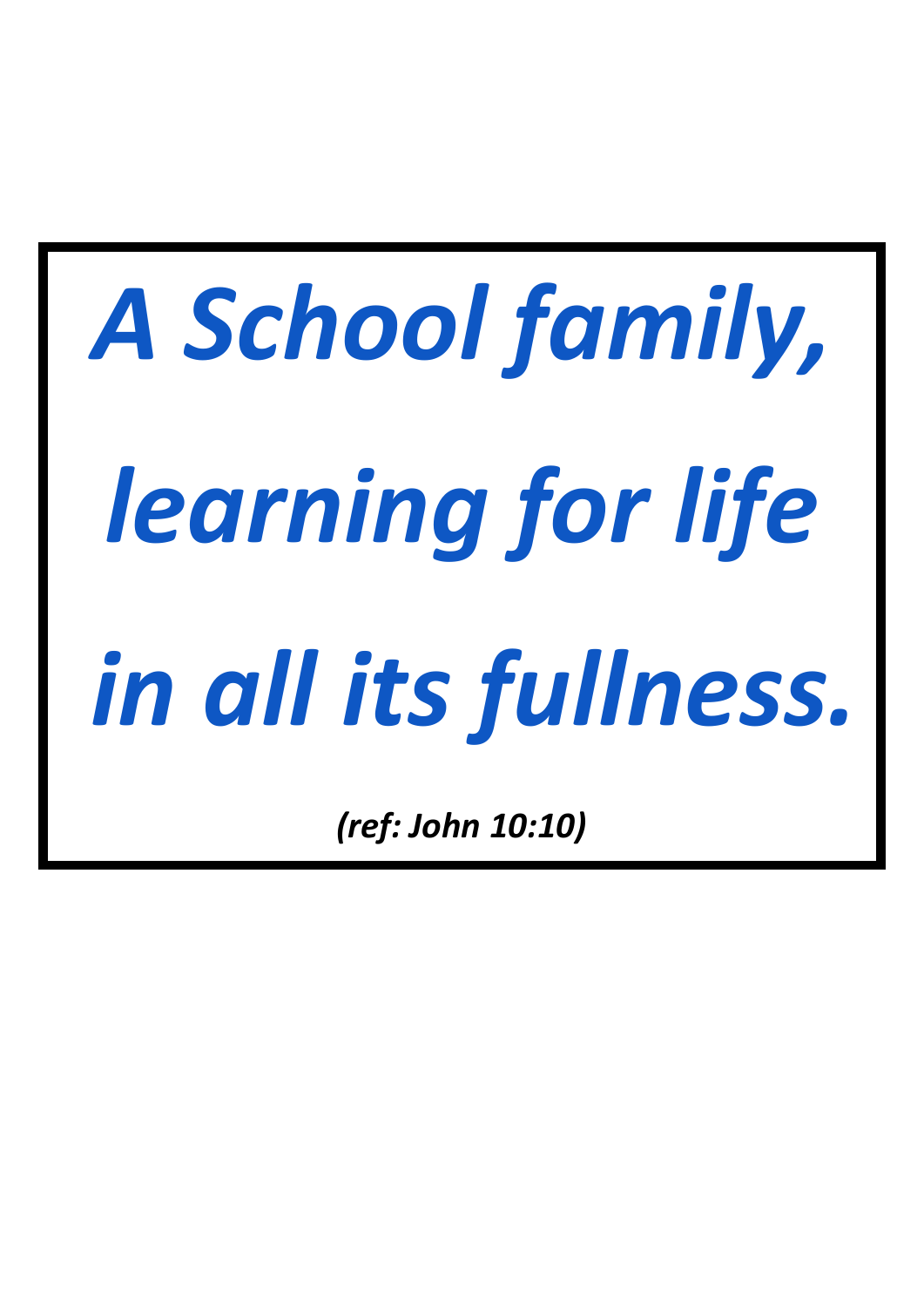*A School family, learning for life in all its fullness.*

*(ref: John 10:10)*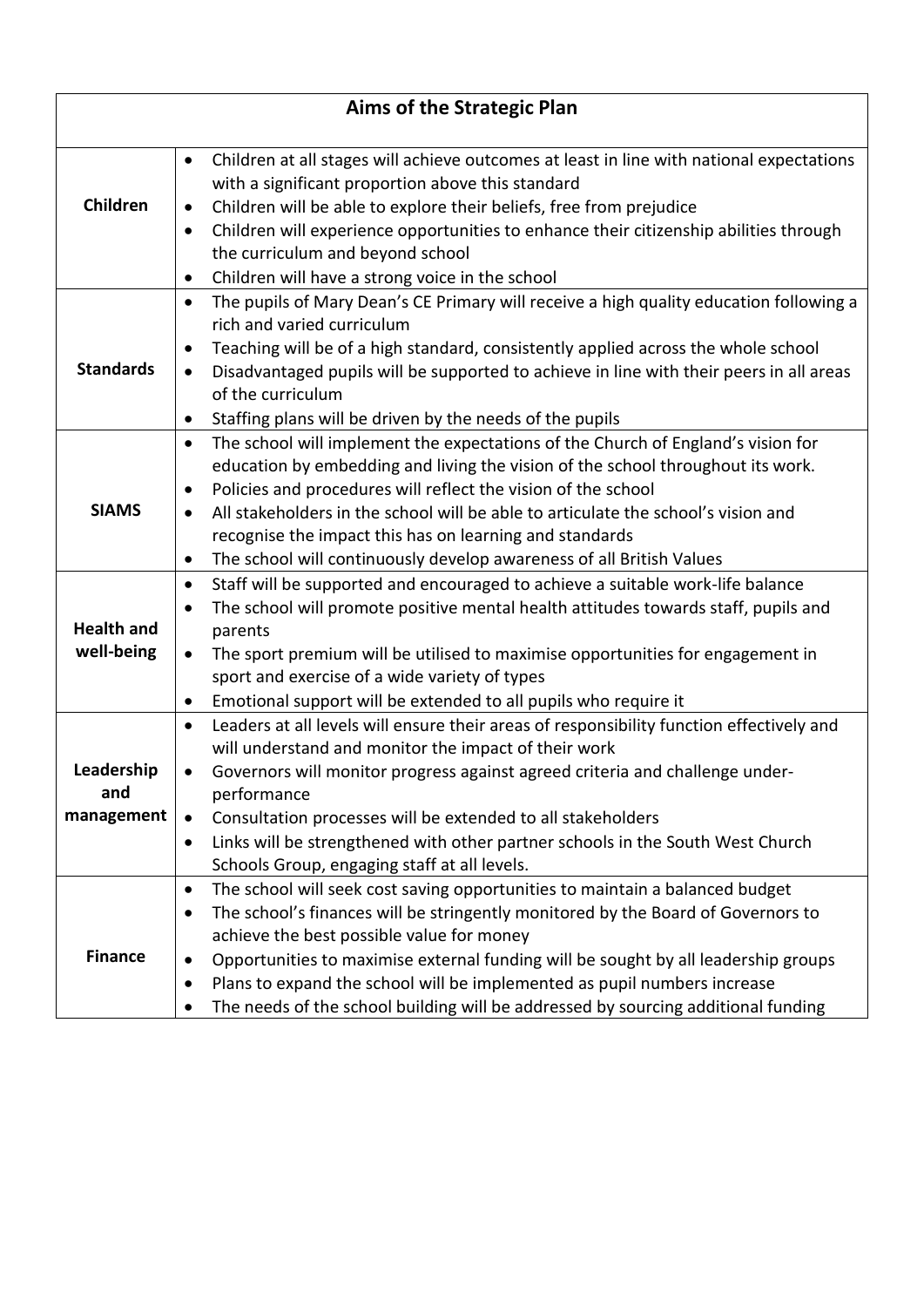| <b>Aims of the Strategic Plan</b> |                                                                                                                                                                                                                                                                                                                                                                                                                                                                                                                       |  |  |  |  |  |
|-----------------------------------|-----------------------------------------------------------------------------------------------------------------------------------------------------------------------------------------------------------------------------------------------------------------------------------------------------------------------------------------------------------------------------------------------------------------------------------------------------------------------------------------------------------------------|--|--|--|--|--|
| Children                          | Children at all stages will achieve outcomes at least in line with national expectations<br>$\bullet$<br>with a significant proportion above this standard<br>Children will be able to explore their beliefs, free from prejudice<br>$\bullet$<br>Children will experience opportunities to enhance their citizenship abilities through<br>$\bullet$<br>the curriculum and beyond school                                                                                                                              |  |  |  |  |  |
| <b>Standards</b>                  | Children will have a strong voice in the school<br>٠<br>The pupils of Mary Dean's CE Primary will receive a high quality education following a<br>$\bullet$<br>rich and varied curriculum<br>Teaching will be of a high standard, consistently applied across the whole school<br>$\bullet$<br>Disadvantaged pupils will be supported to achieve in line with their peers in all areas<br>$\bullet$<br>of the curriculum<br>Staffing plans will be driven by the needs of the pupils<br>$\bullet$                     |  |  |  |  |  |
| <b>SIAMS</b>                      | The school will implement the expectations of the Church of England's vision for<br>$\bullet$<br>education by embedding and living the vision of the school throughout its work.<br>Policies and procedures will reflect the vision of the school<br>$\bullet$<br>All stakeholders in the school will be able to articulate the school's vision and<br>$\bullet$<br>recognise the impact this has on learning and standards<br>The school will continuously develop awareness of all British Values<br>$\bullet$      |  |  |  |  |  |
| <b>Health and</b><br>well-being   | Staff will be supported and encouraged to achieve a suitable work-life balance<br>$\bullet$<br>The school will promote positive mental health attitudes towards staff, pupils and<br>$\bullet$<br>parents<br>The sport premium will be utilised to maximise opportunities for engagement in<br>$\bullet$<br>sport and exercise of a wide variety of types<br>Emotional support will be extended to all pupils who require it<br>$\bullet$                                                                             |  |  |  |  |  |
| Leadership<br>and<br>management   | Leaders at all levels will ensure their areas of responsibility function effectively and<br>$\bullet$<br>will understand and monitor the impact of their work<br>Governors will monitor progress against agreed criteria and challenge under-<br>$\bullet$<br>performance<br>Consultation processes will be extended to all stakeholders<br>$\bullet$<br>Links will be strengthened with other partner schools in the South West Church<br>٠<br>Schools Group, engaging staff at all levels.                          |  |  |  |  |  |
| <b>Finance</b>                    | The school will seek cost saving opportunities to maintain a balanced budget<br>$\bullet$<br>The school's finances will be stringently monitored by the Board of Governors to<br>$\bullet$<br>achieve the best possible value for money<br>Opportunities to maximise external funding will be sought by all leadership groups<br>$\bullet$<br>Plans to expand the school will be implemented as pupil numbers increase<br>٠<br>The needs of the school building will be addressed by sourcing additional funding<br>٠ |  |  |  |  |  |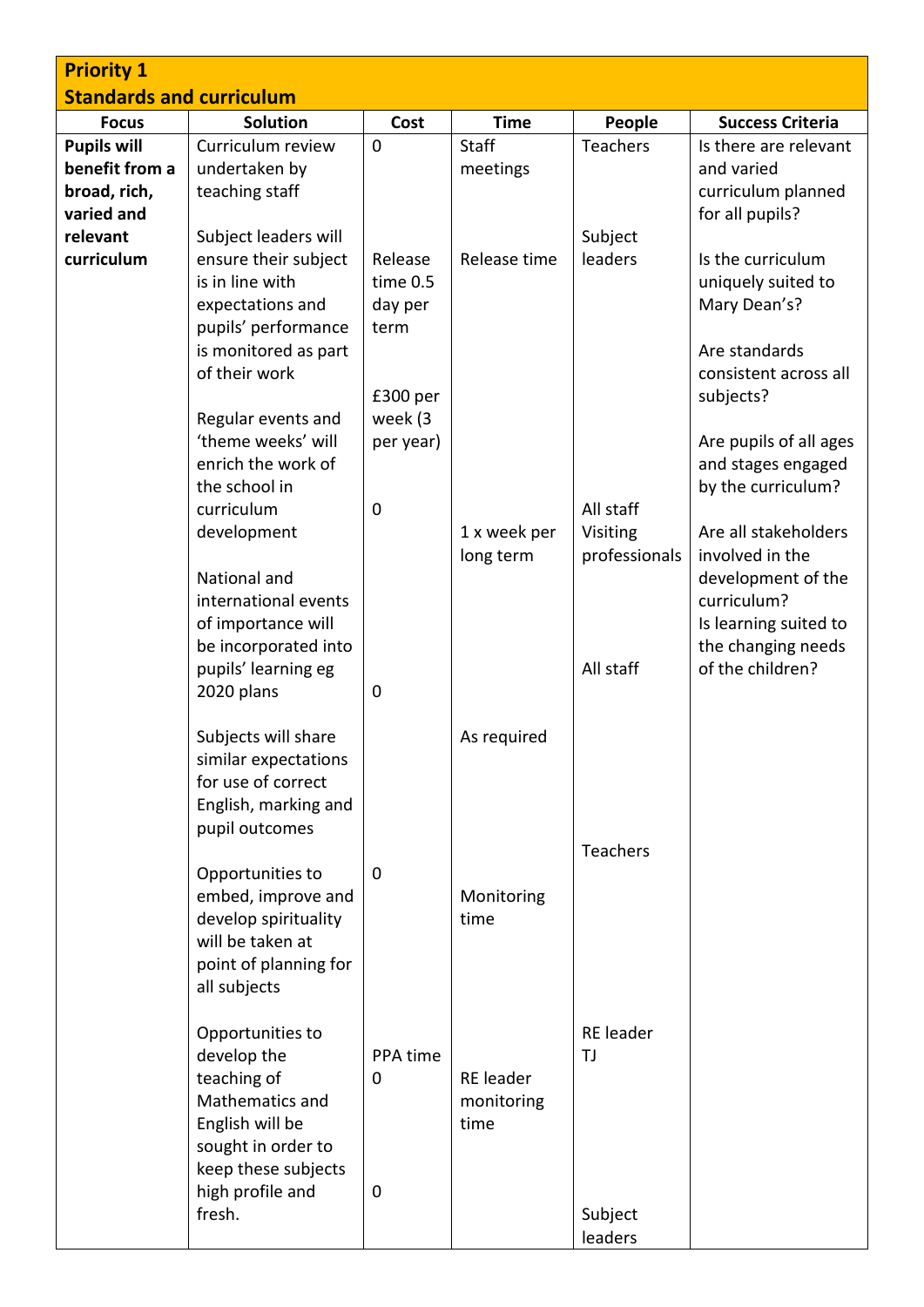| <b>Priority 1</b>                                                  |                                                                                                                                                                                                                                         |                                                    |                                 |                                                     |                                                                                                                                                                                                                       |
|--------------------------------------------------------------------|-----------------------------------------------------------------------------------------------------------------------------------------------------------------------------------------------------------------------------------------|----------------------------------------------------|---------------------------------|-----------------------------------------------------|-----------------------------------------------------------------------------------------------------------------------------------------------------------------------------------------------------------------------|
| <b>Standards and curriculum</b>                                    |                                                                                                                                                                                                                                         |                                                    |                                 |                                                     |                                                                                                                                                                                                                       |
| <b>Focus</b>                                                       | <b>Solution</b>                                                                                                                                                                                                                         | Cost                                               | <b>Time</b>                     | People                                              | <b>Success Criteria</b>                                                                                                                                                                                               |
| <b>Pupils will</b><br>benefit from a<br>broad, rich,<br>varied and | Curriculum review<br>undertaken by<br>teaching staff                                                                                                                                                                                    | $\mathbf 0$                                        | <b>Staff</b><br>meetings        | <b>Teachers</b>                                     | Is there are relevant<br>and varied<br>curriculum planned<br>for all pupils?                                                                                                                                          |
| relevant<br>curriculum                                             | Subject leaders will<br>ensure their subject<br>is in line with<br>expectations and<br>pupils' performance<br>is monitored as part<br>of their work                                                                                     | Release<br>time 0.5<br>day per<br>term<br>£300 per | Release time                    | Subject<br>leaders                                  | Is the curriculum<br>uniquely suited to<br>Mary Dean's?<br>Are standards<br>consistent across all<br>subjects?                                                                                                        |
|                                                                    | Regular events and<br>'theme weeks' will<br>enrich the work of<br>the school in<br>curriculum<br>development<br>National and<br>international events<br>of importance will<br>be incorporated into<br>pupils' learning eg<br>2020 plans | week (3<br>per year)<br>$\mathbf 0$<br>$\mathbf 0$ | 1 x week per<br>long term       | All staff<br>Visiting<br>professionals<br>All staff | Are pupils of all ages<br>and stages engaged<br>by the curriculum?<br>Are all stakeholders<br>involved in the<br>development of the<br>curriculum?<br>Is learning suited to<br>the changing needs<br>of the children? |
|                                                                    | Subjects will share<br>similar expectations<br>for use of correct<br>English, marking and<br>pupil outcomes                                                                                                                             |                                                    | As required                     | <b>Teachers</b>                                     |                                                                                                                                                                                                                       |
|                                                                    | Opportunities to<br>embed, improve and<br>develop spirituality<br>will be taken at<br>point of planning for<br>all subjects                                                                                                             | $\mathbf 0$                                        | Monitoring<br>time              |                                                     |                                                                                                                                                                                                                       |
|                                                                    | Opportunities to<br>develop the<br>teaching of<br>Mathematics and<br>English will be<br>sought in order to<br>keep these subjects<br>high profile and<br>fresh.                                                                         | PPA time<br>0<br>0                                 | RE leader<br>monitoring<br>time | <b>RE</b> leader<br>ΤJ<br>Subject                   |                                                                                                                                                                                                                       |
|                                                                    |                                                                                                                                                                                                                                         |                                                    |                                 | leaders                                             |                                                                                                                                                                                                                       |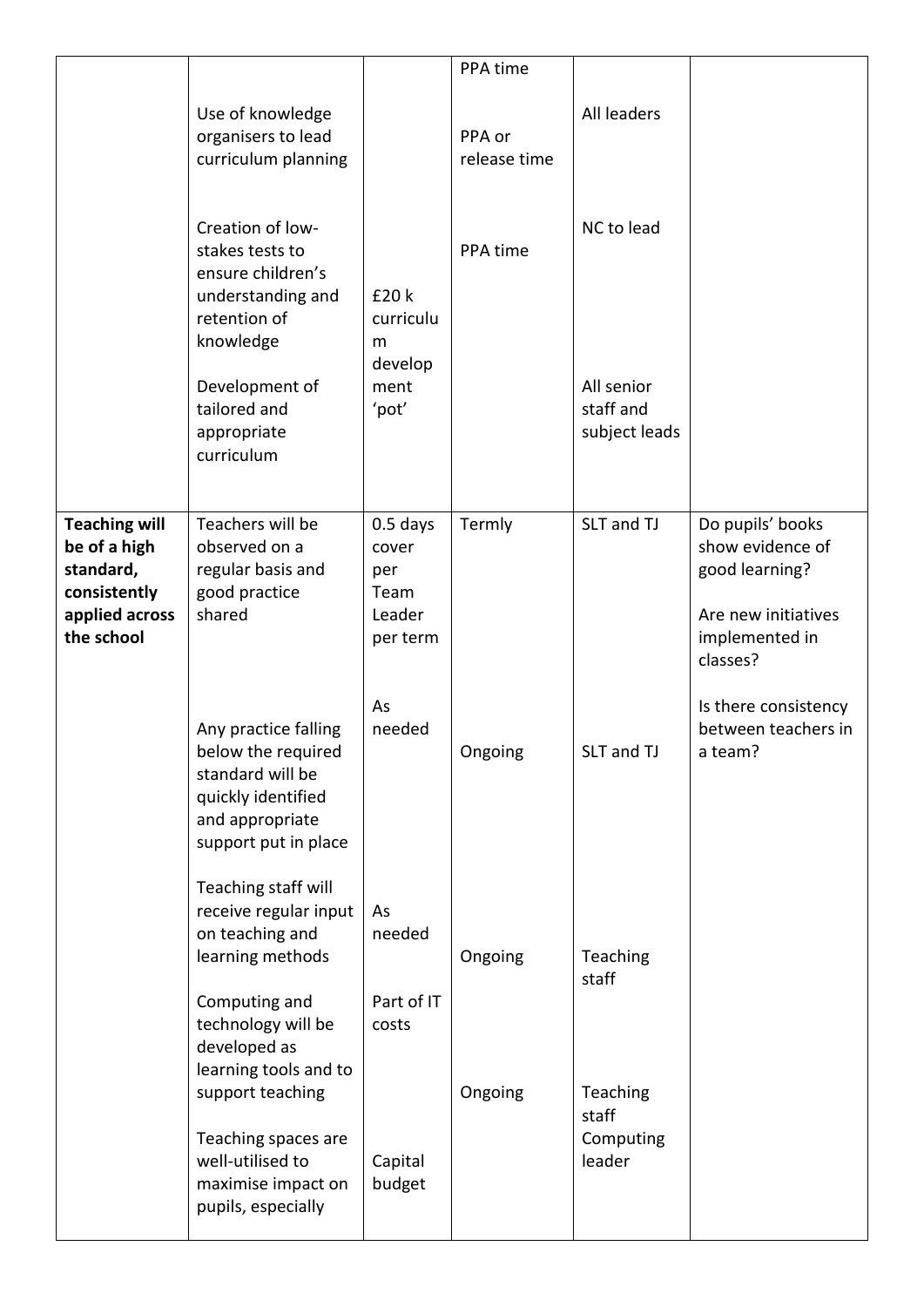|                                                                                                   |                                                                                                                                                                           |                                                          | PPA time               |                                                        |                                                                                                             |
|---------------------------------------------------------------------------------------------------|---------------------------------------------------------------------------------------------------------------------------------------------------------------------------|----------------------------------------------------------|------------------------|--------------------------------------------------------|-------------------------------------------------------------------------------------------------------------|
|                                                                                                   | Use of knowledge<br>organisers to lead<br>curriculum planning                                                                                                             |                                                          | PPA or<br>release time | All leaders                                            |                                                                                                             |
|                                                                                                   | Creation of low-<br>stakes tests to<br>ensure children's<br>understanding and<br>retention of<br>knowledge<br>Development of<br>tailored and<br>appropriate<br>curriculum | £20 k<br>curriculu<br>m<br>develop<br>ment<br>'pot'      | PPA time               | NC to lead<br>All senior<br>staff and<br>subject leads |                                                                                                             |
| <b>Teaching will</b><br>be of a high<br>standard,<br>consistently<br>applied across<br>the school | Teachers will be<br>observed on a<br>regular basis and<br>good practice<br>shared                                                                                         | $0.5$ days<br>cover<br>per<br>Team<br>Leader<br>per term | Termly                 | SLT and TJ                                             | Do pupils' books<br>show evidence of<br>good learning?<br>Are new initiatives<br>implemented in<br>classes? |
|                                                                                                   | Any practice falling<br>below the required<br>standard will be<br>quickly identified<br>and appropriate<br>support put in place                                           | As<br>needed                                             | Ongoing                | SLT and TJ                                             | Is there consistency<br>between teachers in<br>a team?                                                      |
|                                                                                                   | Teaching staff will<br>receive regular input<br>on teaching and<br>learning methods                                                                                       | As<br>needed                                             | Ongoing                | Teaching<br>staff                                      |                                                                                                             |
|                                                                                                   | Computing and<br>technology will be<br>developed as<br>learning tools and to<br>support teaching                                                                          | Part of IT<br>costs                                      | Ongoing                | Teaching<br>staff                                      |                                                                                                             |
|                                                                                                   | Teaching spaces are<br>well-utilised to<br>maximise impact on<br>pupils, especially                                                                                       | Capital<br>budget                                        |                        | Computing<br>leader                                    |                                                                                                             |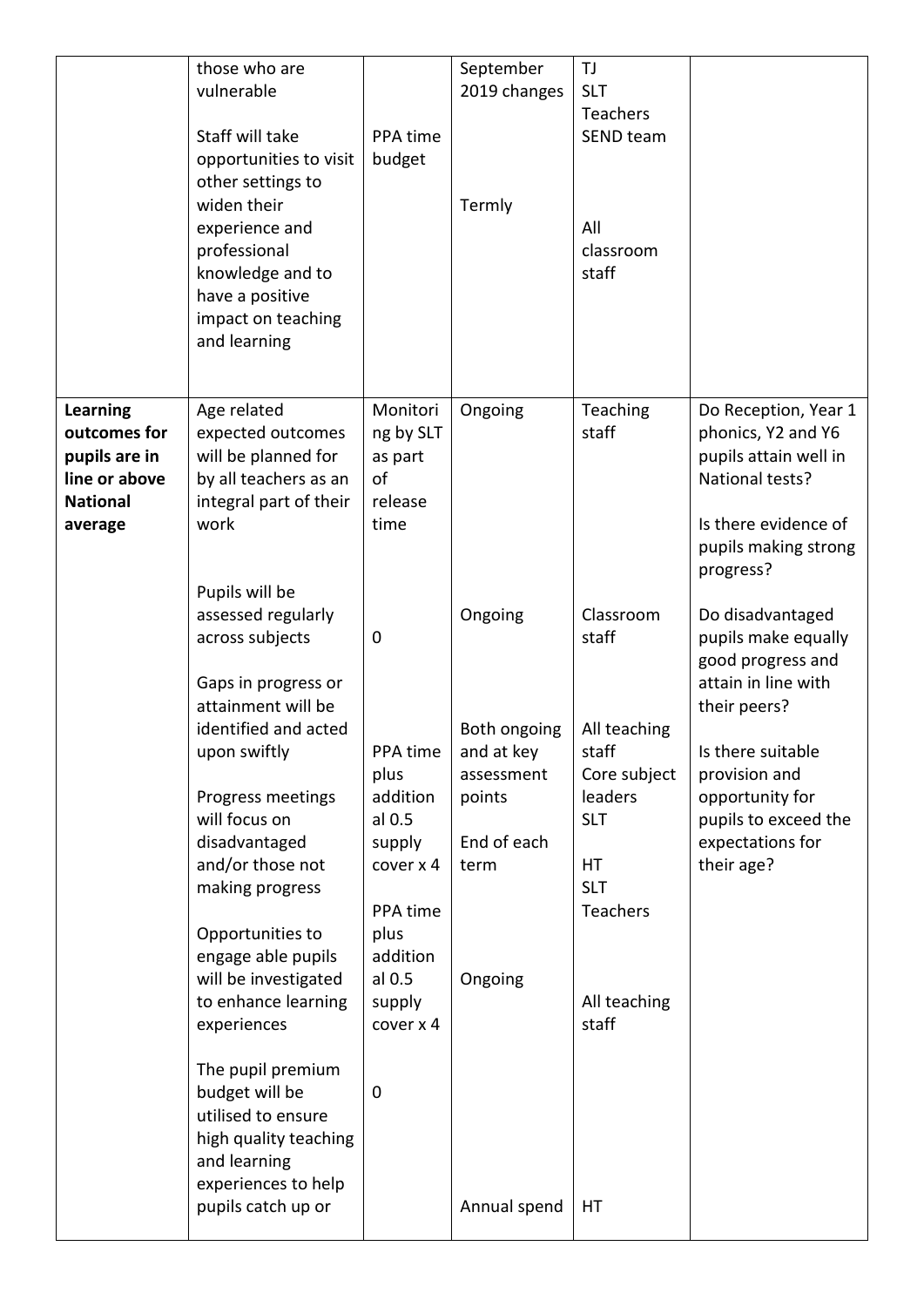|                                                                                                 | those who are<br>vulnerable<br>Staff will take<br>opportunities to visit<br>other settings to<br>widen their<br>experience and<br>professional<br>knowledge and to<br>have a positive<br>impact on teaching<br>and learning                                                                                                                                                                                                                                                         | PPA time<br>budget                                                                                                                       | September<br>2019 changes<br>Termly                                                                             | <b>TJ</b><br><b>SLT</b><br><b>Teachers</b><br>SEND team<br>All<br>classroom<br>staff                                                                |                                                                                                                                                                                                                        |
|-------------------------------------------------------------------------------------------------|-------------------------------------------------------------------------------------------------------------------------------------------------------------------------------------------------------------------------------------------------------------------------------------------------------------------------------------------------------------------------------------------------------------------------------------------------------------------------------------|------------------------------------------------------------------------------------------------------------------------------------------|-----------------------------------------------------------------------------------------------------------------|-----------------------------------------------------------------------------------------------------------------------------------------------------|------------------------------------------------------------------------------------------------------------------------------------------------------------------------------------------------------------------------|
| <b>Learning</b><br>outcomes for<br>pupils are in<br>line or above<br><b>National</b><br>average | Age related<br>expected outcomes<br>will be planned for<br>by all teachers as an<br>integral part of their<br>work<br>Pupils will be                                                                                                                                                                                                                                                                                                                                                | Monitori<br>ng by SLT<br>as part<br>of<br>release<br>time                                                                                | Ongoing                                                                                                         | Teaching<br>staff                                                                                                                                   | Do Reception, Year 1<br>phonics, Y2 and Y6<br>pupils attain well in<br>National tests?<br>Is there evidence of<br>pupils making strong<br>progress?                                                                    |
|                                                                                                 | assessed regularly<br>across subjects<br>Gaps in progress or<br>attainment will be<br>identified and acted<br>upon swiftly<br>Progress meetings<br>will focus on<br>disadvantaged<br>and/or those not<br>making progress<br>Opportunities to<br>engage able pupils<br>will be investigated<br>to enhance learning<br>experiences<br>The pupil premium<br>budget will be<br>utilised to ensure<br>high quality teaching<br>and learning<br>experiences to help<br>pupils catch up or | 0<br>PPA time<br>plus<br>addition<br>al 0.5<br>supply<br>cover x 4<br>PPA time<br>plus<br>addition<br>al 0.5<br>supply<br>cover x 4<br>0 | Ongoing<br>Both ongoing<br>and at key<br>assessment<br>points<br>End of each<br>term<br>Ongoing<br>Annual spend | Classroom<br>staff<br>All teaching<br>staff<br>Core subject<br>leaders<br><b>SLT</b><br>HT<br><b>SLT</b><br>Teachers<br>All teaching<br>staff<br>HT | Do disadvantaged<br>pupils make equally<br>good progress and<br>attain in line with<br>their peers?<br>Is there suitable<br>provision and<br>opportunity for<br>pupils to exceed the<br>expectations for<br>their age? |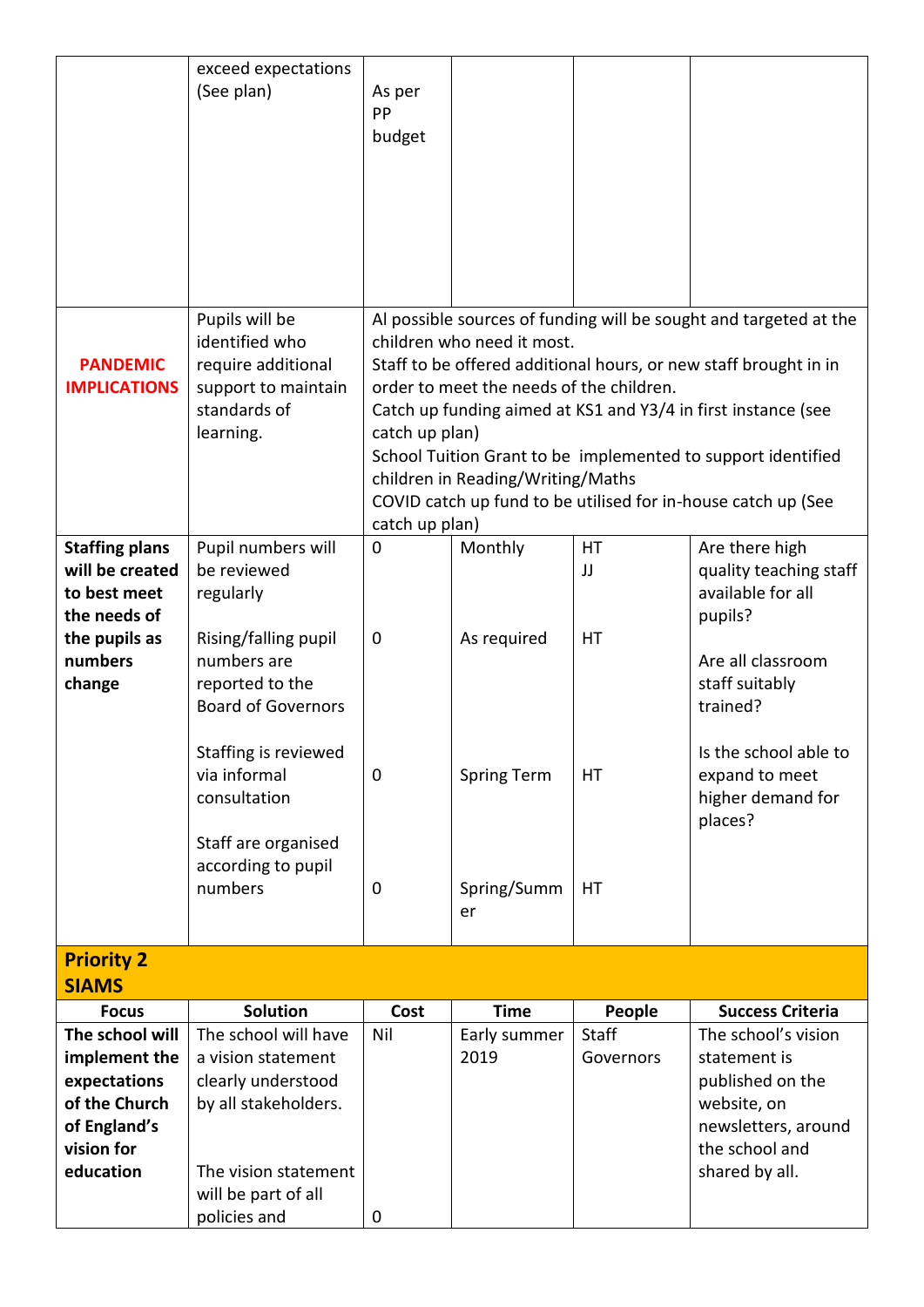|                       | exceed expectations                          |                |                                          |           |                                                                   |
|-----------------------|----------------------------------------------|----------------|------------------------------------------|-----------|-------------------------------------------------------------------|
|                       | (See plan)                                   | As per         |                                          |           |                                                                   |
|                       |                                              | PP             |                                          |           |                                                                   |
|                       |                                              | budget         |                                          |           |                                                                   |
|                       |                                              |                |                                          |           |                                                                   |
|                       |                                              |                |                                          |           |                                                                   |
|                       |                                              |                |                                          |           |                                                                   |
|                       |                                              |                |                                          |           |                                                                   |
|                       |                                              |                |                                          |           |                                                                   |
|                       |                                              |                |                                          |           |                                                                   |
|                       |                                              |                |                                          |           |                                                                   |
|                       | Pupils will be                               |                |                                          |           | Al possible sources of funding will be sought and targeted at the |
|                       | identified who                               |                | children who need it most.               |           |                                                                   |
| <b>PANDEMIC</b>       | require additional                           |                |                                          |           | Staff to be offered additional hours, or new staff brought in in  |
| <b>IMPLICATIONS</b>   | support to maintain                          |                | order to meet the needs of the children. |           |                                                                   |
|                       | standards of                                 |                |                                          |           | Catch up funding aimed at KS1 and Y3/4 in first instance (see     |
|                       | learning.                                    | catch up plan) |                                          |           |                                                                   |
|                       |                                              |                |                                          |           | School Tuition Grant to be implemented to support identified      |
|                       |                                              |                | children in Reading/Writing/Maths        |           |                                                                   |
|                       |                                              |                |                                          |           | COVID catch up fund to be utilised for in-house catch up (See     |
|                       |                                              | catch up plan) |                                          |           |                                                                   |
| <b>Staffing plans</b> | Pupil numbers will                           | $\mathbf 0$    | Monthly                                  | HT        | Are there high                                                    |
| will be created       | be reviewed                                  |                |                                          | JJ        | quality teaching staff                                            |
| to best meet          | regularly                                    |                |                                          |           | available for all                                                 |
| the needs of          |                                              |                |                                          |           | pupils?                                                           |
| the pupils as         | Rising/falling pupil                         | 0              | As required                              | HT        |                                                                   |
| numbers               | numbers are                                  |                |                                          |           | Are all classroom                                                 |
| change                | reported to the<br><b>Board of Governors</b> |                |                                          |           | staff suitably                                                    |
|                       |                                              |                |                                          |           | trained?                                                          |
|                       | Staffing is reviewed                         |                |                                          |           | Is the school able to                                             |
|                       | via informal                                 | 0              | Spring Term                              | HT        | expand to meet                                                    |
|                       | consultation                                 |                |                                          |           | higher demand for                                                 |
|                       |                                              |                |                                          |           | places?                                                           |
|                       | Staff are organised                          |                |                                          |           |                                                                   |
|                       | according to pupil                           |                |                                          |           |                                                                   |
|                       | numbers                                      | $\mathbf 0$    | Spring/Summ                              | HT        |                                                                   |
|                       |                                              |                | er                                       |           |                                                                   |
|                       |                                              |                |                                          |           |                                                                   |
| <b>Priority 2</b>     |                                              |                |                                          |           |                                                                   |
| <b>SIAMS</b>          |                                              |                |                                          |           |                                                                   |
| <b>Focus</b>          | <b>Solution</b>                              | Cost           | <b>Time</b>                              | People    | <b>Success Criteria</b>                                           |
| The school will       | The school will have                         | Nil            | Early summer                             | Staff     | The school's vision                                               |
| implement the         | a vision statement                           |                | 2019                                     | Governors | statement is                                                      |
| expectations          | clearly understood                           |                |                                          |           | published on the                                                  |
| of the Church         | by all stakeholders.                         |                |                                          |           | website, on                                                       |
| of England's          |                                              |                |                                          |           | newsletters, around                                               |
| vision for            |                                              |                |                                          |           | the school and                                                    |
| education             | The vision statement                         |                |                                          |           | shared by all.                                                    |
|                       | will be part of all                          |                |                                          |           |                                                                   |
|                       | policies and                                 | 0              |                                          |           |                                                                   |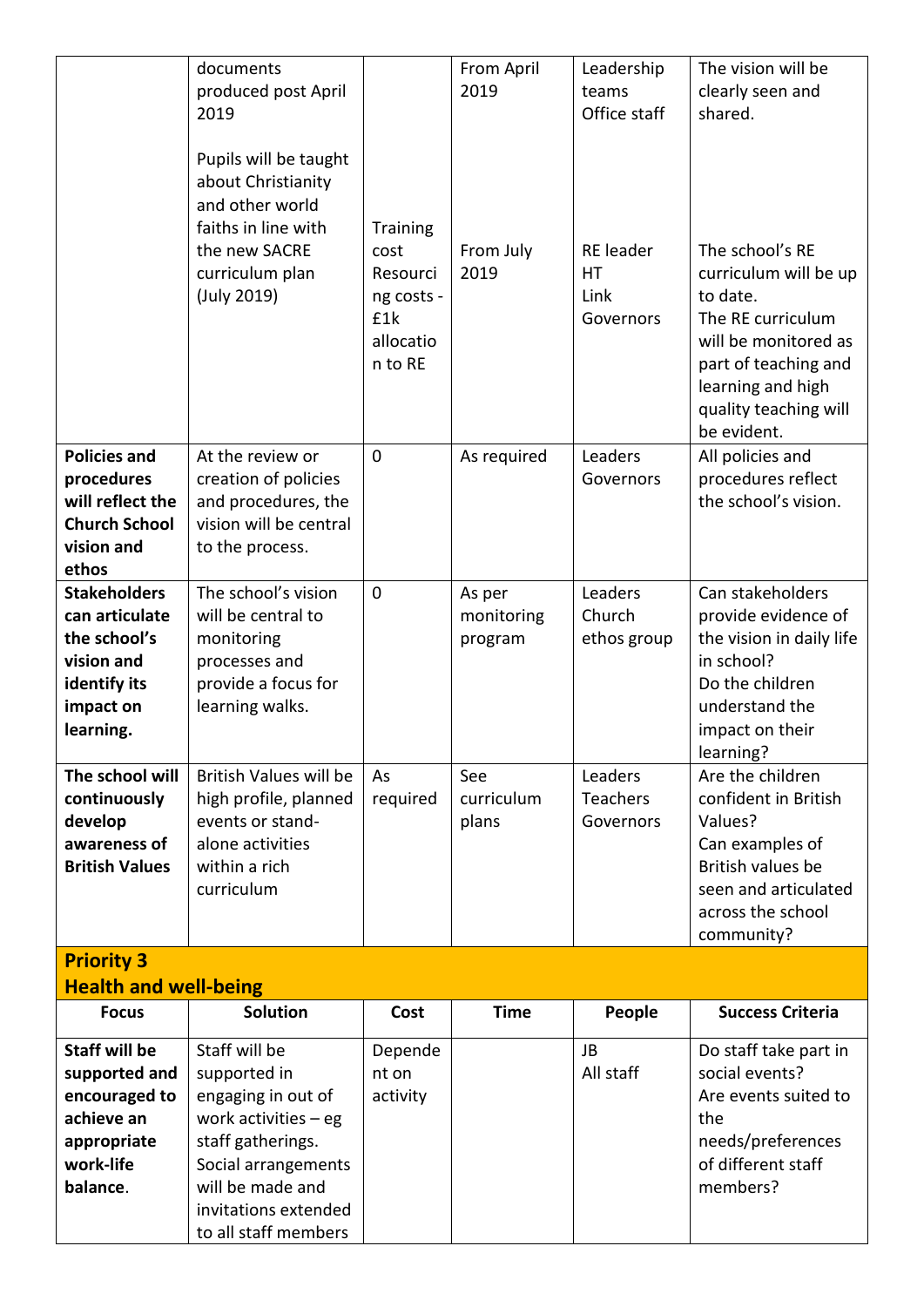|                                                                                                               | documents<br>produced post April<br>2019<br>Pupils will be taught<br>about Christianity<br>and other world<br>faiths in line with<br>the new SACRE | <b>Training</b><br>cost                               | From April<br>2019              | Leadership<br>teams<br>Office staff<br><b>RE</b> leader | The vision will be<br>clearly seen and<br>shared.<br>The school's RE                                                                                                |
|---------------------------------------------------------------------------------------------------------------|----------------------------------------------------------------------------------------------------------------------------------------------------|-------------------------------------------------------|---------------------------------|---------------------------------------------------------|---------------------------------------------------------------------------------------------------------------------------------------------------------------------|
|                                                                                                               | curriculum plan<br>(July 2019)                                                                                                                     | Resourci<br>ng costs -<br>£1k<br>allocatio<br>n to RE | From July<br>2019               | HT.<br>Link<br>Governors                                | curriculum will be up<br>to date.<br>The RE curriculum<br>will be monitored as<br>part of teaching and<br>learning and high<br>quality teaching will<br>be evident. |
| <b>Policies and</b><br>procedures<br>will reflect the<br><b>Church School</b><br>vision and<br>ethos          | At the review or<br>creation of policies<br>and procedures, the<br>vision will be central<br>to the process.                                       | $\overline{0}$                                        | As required                     | Leaders<br>Governors                                    | All policies and<br>procedures reflect<br>the school's vision.                                                                                                      |
| <b>Stakeholders</b><br>can articulate<br>the school's<br>vision and<br>identify its<br>impact on<br>learning. | The school's vision<br>will be central to<br>monitoring<br>processes and<br>provide a focus for<br>learning walks.                                 | $\overline{0}$                                        | As per<br>monitoring<br>program | Leaders<br>Church<br>ethos group                        | Can stakeholders<br>provide evidence of<br>the vision in daily life<br>in school?<br>Do the children<br>understand the<br>impact on their<br>learning?              |
| The school will<br>continuously<br>develop<br>awareness of<br><b>British Values</b>                           | <b>British Values will be</b><br>high profile, planned<br>events or stand-<br>alone activities<br>within a rich<br>curriculum                      | As<br>required                                        | See<br>curriculum<br>plans      | Leaders<br>Teachers<br>Governors                        | Are the children<br>confident in British<br>Values?<br>Can examples of<br>British values be<br>seen and articulated<br>across the school<br>community?              |
| <b>Priority 3</b><br><b>Health and well-being</b>                                                             |                                                                                                                                                    |                                                       |                                 |                                                         |                                                                                                                                                                     |
| <b>Focus</b>                                                                                                  | <b>Solution</b>                                                                                                                                    | Cost                                                  | <b>Time</b>                     | People                                                  | <b>Success Criteria</b>                                                                                                                                             |
| <b>Staff will be</b><br>supported and<br>encouraged to<br>achieve an<br>appropriate<br>work-life              | Staff will be<br>supported in<br>engaging in out of<br>work activities $-$ eg<br>staff gatherings.<br>Social arrangements                          | Depende<br>nt on<br>activity                          |                                 | JB<br>All staff                                         | Do staff take part in<br>social events?<br>Are events suited to<br>the<br>needs/preferences<br>of different staff                                                   |

members?

**balance**.

will be made and invitations extended to all staff members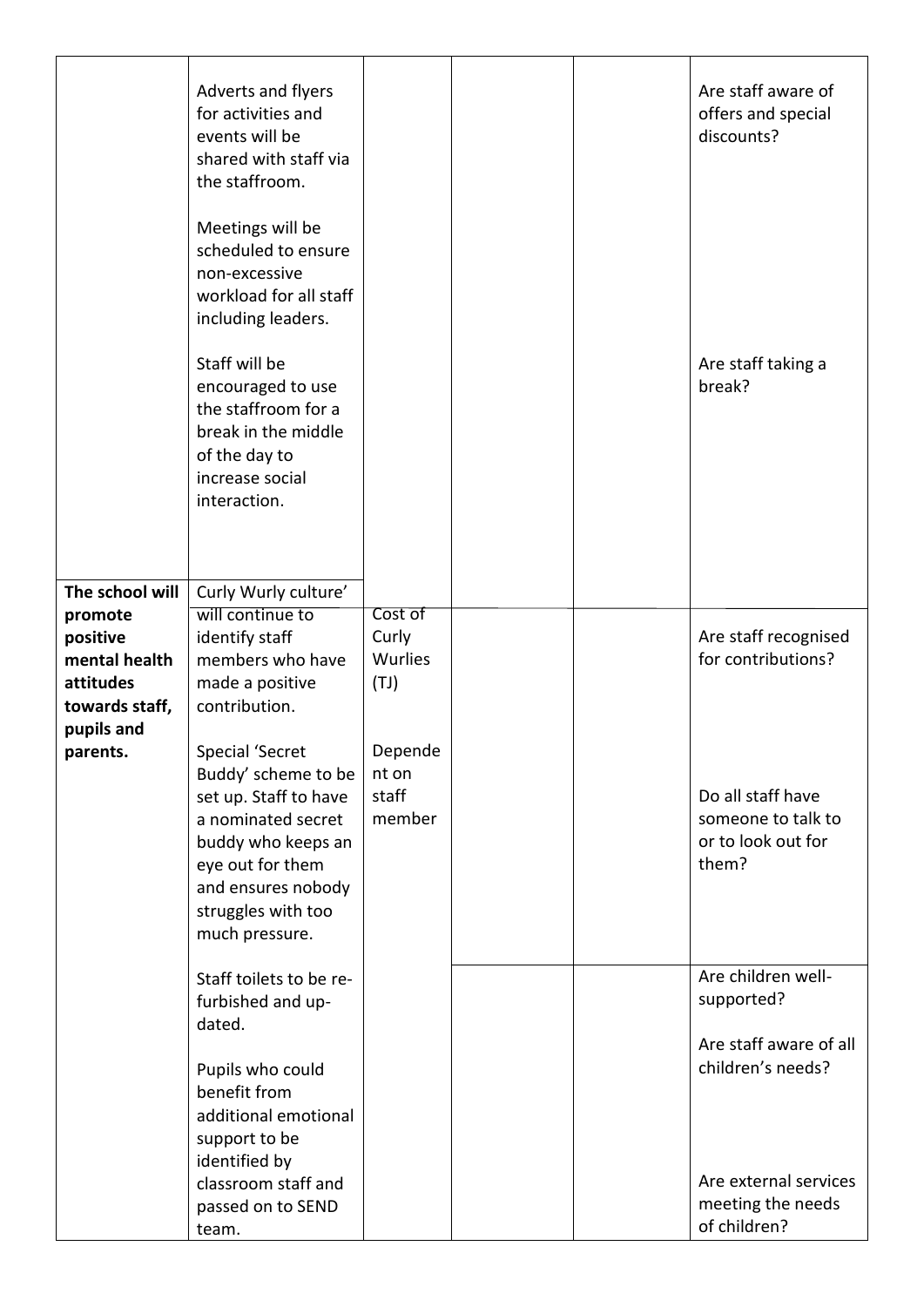| The school will        | Adverts and flyers<br>for activities and<br>events will be<br>shared with staff via<br>the staffroom.<br>Meetings will be<br>scheduled to ensure<br>non-excessive<br>workload for all staff<br>including leaders.<br>Staff will be<br>encouraged to use<br>the staffroom for a<br>break in the middle<br>of the day to<br>increase social<br>interaction.<br>Curly Wurly culture' |                          |  | Are staff aware of<br>offers and special<br>discounts?<br>Are staff taking a<br>break? |
|------------------------|-----------------------------------------------------------------------------------------------------------------------------------------------------------------------------------------------------------------------------------------------------------------------------------------------------------------------------------------------------------------------------------|--------------------------|--|----------------------------------------------------------------------------------------|
| promote<br>positive    | will continue to<br>identify staff                                                                                                                                                                                                                                                                                                                                                | Cost of<br>Curly         |  | Are staff recognised                                                                   |
| mental health          | members who have                                                                                                                                                                                                                                                                                                                                                                  | <b>Wurlies</b>           |  | for contributions?                                                                     |
| attitudes              | made a positive                                                                                                                                                                                                                                                                                                                                                                   | (TJ)                     |  |                                                                                        |
| towards staff,         | contribution.                                                                                                                                                                                                                                                                                                                                                                     |                          |  |                                                                                        |
| pupils and<br>parents. | Special 'Secret                                                                                                                                                                                                                                                                                                                                                                   | Depende                  |  |                                                                                        |
|                        | Buddy' scheme to be<br>set up. Staff to have<br>a nominated secret<br>buddy who keeps an<br>eye out for them<br>and ensures nobody<br>struggles with too<br>much pressure.                                                                                                                                                                                                        | nt on<br>staff<br>member |  | Do all staff have<br>someone to talk to<br>or to look out for<br>them?                 |
|                        | Staff toilets to be re-<br>furbished and up-<br>dated.                                                                                                                                                                                                                                                                                                                            |                          |  | Are children well-<br>supported?                                                       |
|                        | Pupils who could<br>benefit from<br>additional emotional<br>support to be<br>identified by                                                                                                                                                                                                                                                                                        |                          |  | Are staff aware of all<br>children's needs?<br>Are external services                   |
|                        | classroom staff and<br>passed on to SEND<br>team.                                                                                                                                                                                                                                                                                                                                 |                          |  | meeting the needs<br>of children?                                                      |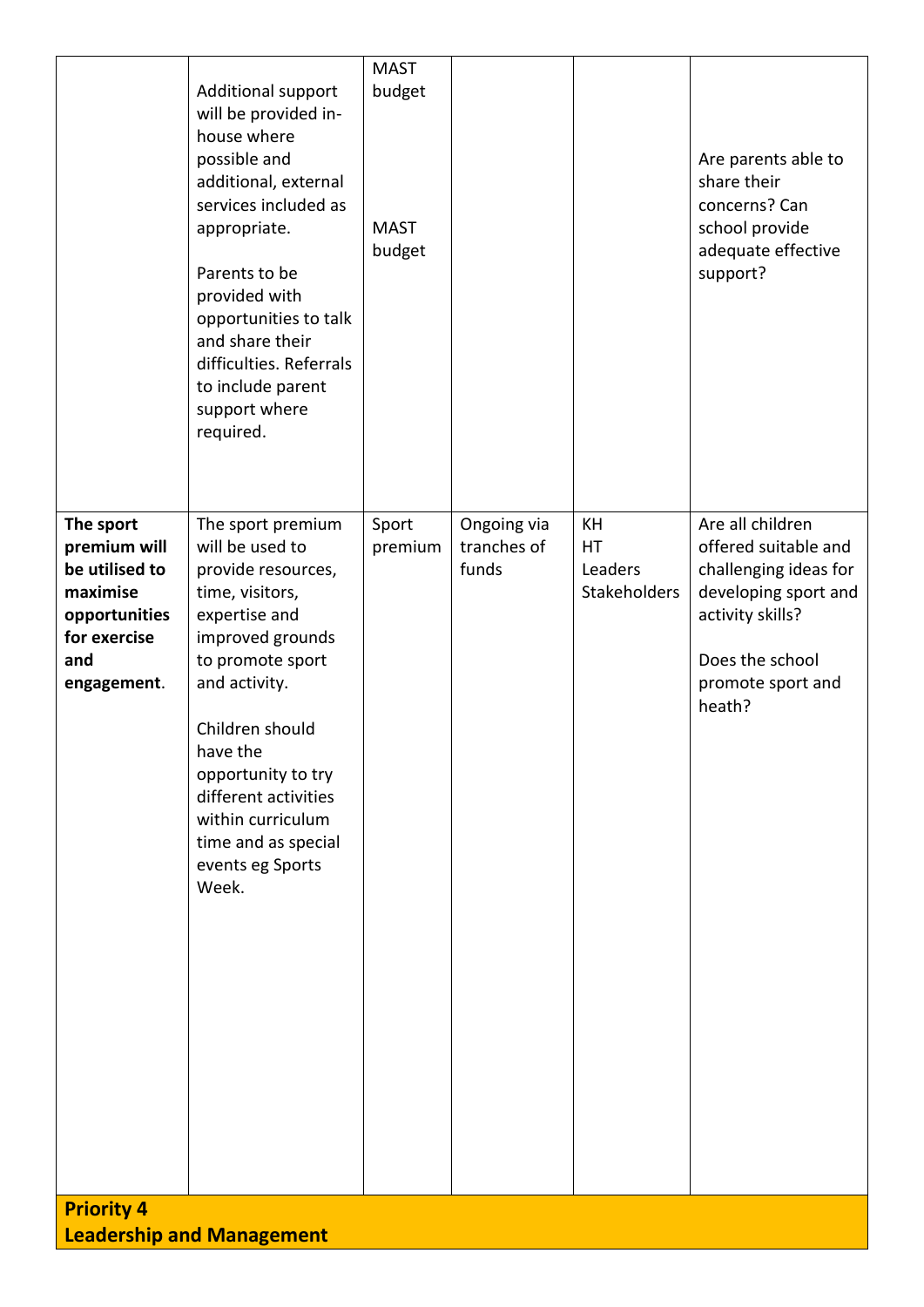|                                                                                                                | Additional support<br>will be provided in-<br>house where<br>possible and<br>additional, external<br>services included as<br>appropriate.<br>Parents to be<br>provided with<br>opportunities to talk<br>and share their<br>difficulties. Referrals<br>to include parent<br>support where<br>required.         | <b>MAST</b><br>budget<br><b>MAST</b><br>budget |                                     |                                            | Are parents able to<br>share their<br>concerns? Can<br>school provide<br>adequate effective<br>support?                                                         |
|----------------------------------------------------------------------------------------------------------------|---------------------------------------------------------------------------------------------------------------------------------------------------------------------------------------------------------------------------------------------------------------------------------------------------------------|------------------------------------------------|-------------------------------------|--------------------------------------------|-----------------------------------------------------------------------------------------------------------------------------------------------------------------|
| The sport<br>premium will<br>be utilised to<br>maximise<br>opportunities<br>for exercise<br>and<br>engagement. | The sport premium<br>will be used to<br>provide resources,<br>time, visitors,<br>expertise and<br>improved grounds<br>to promote sport<br>and activity.<br>Children should<br>have the<br>opportunity to try<br>different activities<br>within curriculum<br>time and as special<br>events eg Sports<br>Week. | Sport<br>premium                               | Ongoing via<br>tranches of<br>funds | KH<br><b>HT</b><br>Leaders<br>Stakeholders | Are all children<br>offered suitable and<br>challenging ideas for<br>developing sport and<br>activity skills?<br>Does the school<br>promote sport and<br>heath? |
| <b>Priority 4</b>                                                                                              | <b>Leadership and Management</b>                                                                                                                                                                                                                                                                              |                                                |                                     |                                            |                                                                                                                                                                 |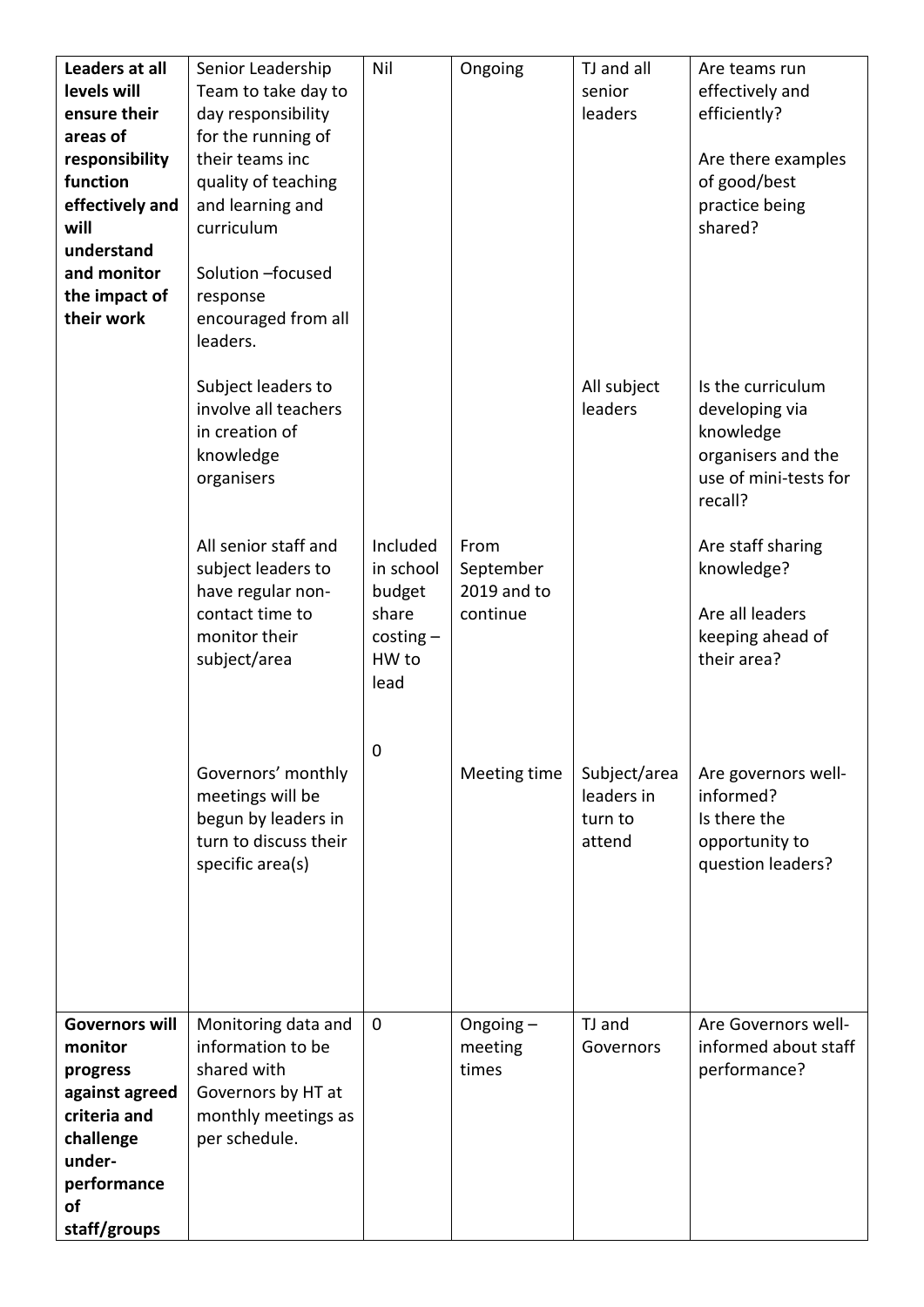| Leaders at all<br>levels will<br>ensure their<br>areas of<br>responsibility<br>function<br>effectively and<br>will<br>understand<br>and monitor<br>the impact of<br>their work | Senior Leadership<br>Team to take day to<br>day responsibility<br>for the running of<br>their teams inc<br>quality of teaching<br>and learning and<br>curriculum<br>Solution - focused<br>response<br>encouraged from all<br>leaders. | Nil                                                                      | Ongoing                                      | TJ and all<br>senior<br>leaders                 | Are teams run<br>effectively and<br>efficiently?<br>Are there examples<br>of good/best<br>practice being<br>shared? |
|--------------------------------------------------------------------------------------------------------------------------------------------------------------------------------|---------------------------------------------------------------------------------------------------------------------------------------------------------------------------------------------------------------------------------------|--------------------------------------------------------------------------|----------------------------------------------|-------------------------------------------------|---------------------------------------------------------------------------------------------------------------------|
|                                                                                                                                                                                | Subject leaders to<br>involve all teachers<br>in creation of<br>knowledge<br>organisers                                                                                                                                               |                                                                          |                                              | All subject<br>leaders                          | Is the curriculum<br>developing via<br>knowledge<br>organisers and the<br>use of mini-tests for<br>recall?          |
|                                                                                                                                                                                | All senior staff and<br>subject leaders to<br>have regular non-<br>contact time to<br>monitor their<br>subject/area                                                                                                                   | Included<br>in school<br>budget<br>share<br>$costing -$<br>HW to<br>lead | From<br>September<br>2019 and to<br>continue |                                                 | Are staff sharing<br>knowledge?<br>Are all leaders<br>keeping ahead of<br>their area?                               |
|                                                                                                                                                                                | Governors' monthly<br>meetings will be<br>begun by leaders in<br>turn to discuss their<br>specific area(s)                                                                                                                            | 0                                                                        | Meeting time                                 | Subject/area<br>leaders in<br>turn to<br>attend | Are governors well-<br>informed?<br>Is there the<br>opportunity to<br>question leaders?                             |
| <b>Governors will</b><br>monitor<br>progress<br>against agreed<br>criteria and<br>challenge<br>under-<br>performance<br>of<br>staff/groups                                     | Monitoring data and<br>information to be<br>shared with<br>Governors by HT at<br>monthly meetings as<br>per schedule.                                                                                                                 | $\mathbf 0$                                                              | Ongoing $-$<br>meeting<br>times              | TJ and<br>Governors                             | Are Governors well-<br>informed about staff<br>performance?                                                         |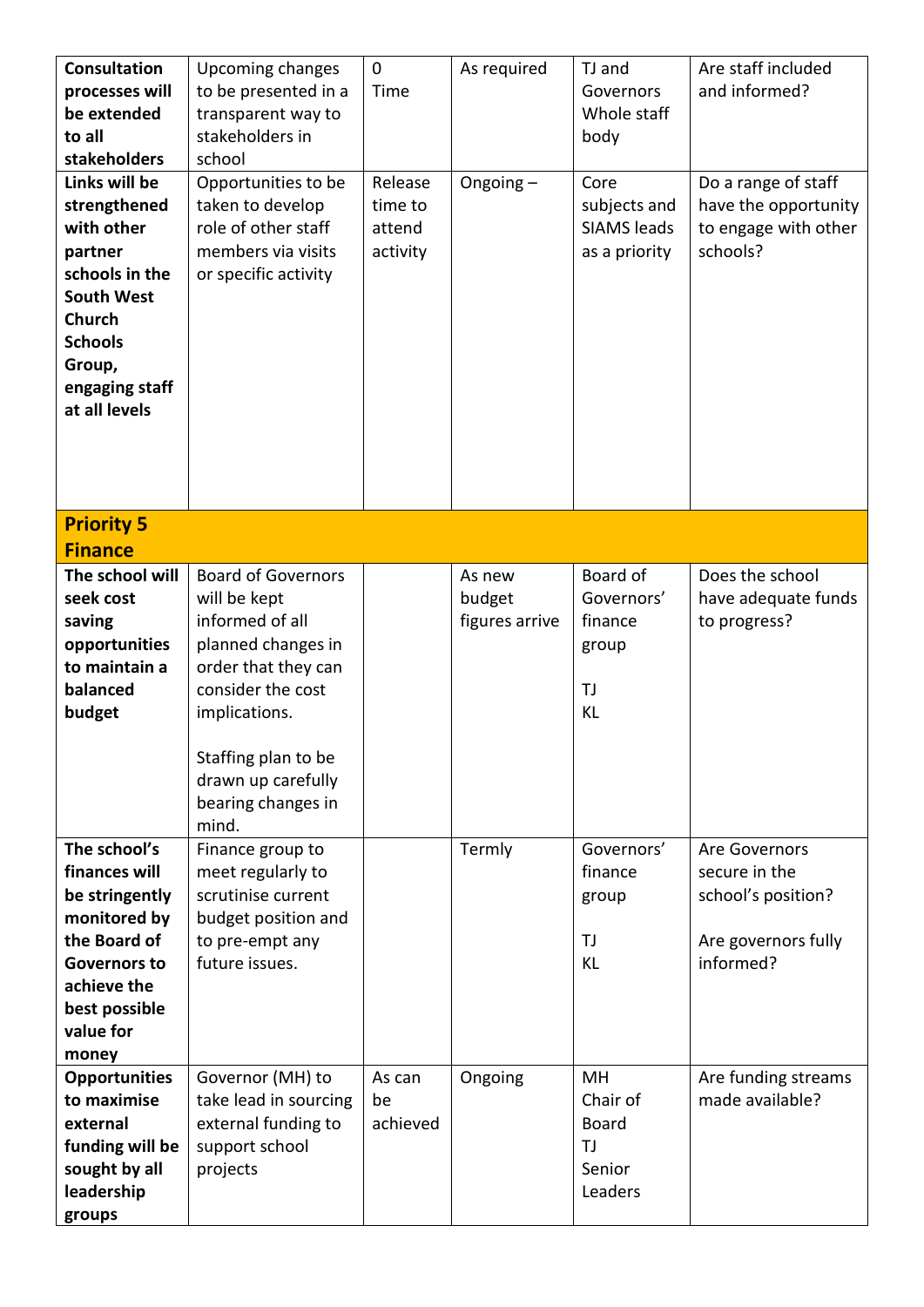| <b>Consultation</b><br>processes will<br>be extended<br>to all<br>stakeholders<br>Links will be                                                              | Upcoming changes<br>to be presented in a<br>transparent way to<br>stakeholders in<br>school<br>Opportunities to be                                                                                                          | $\mathbf 0$<br>Time<br>Release | As required<br>Ongoing $-$         | TJ and<br>Governors<br>Whole staff<br>body<br>Core            | Are staff included<br>and informed?<br>Do a range of staff                               |
|--------------------------------------------------------------------------------------------------------------------------------------------------------------|-----------------------------------------------------------------------------------------------------------------------------------------------------------------------------------------------------------------------------|--------------------------------|------------------------------------|---------------------------------------------------------------|------------------------------------------------------------------------------------------|
| strengthened<br>with other<br>partner<br>schools in the<br><b>South West</b><br><b>Church</b><br><b>Schools</b><br>Group,<br>engaging staff<br>at all levels | taken to develop<br>role of other staff<br>members via visits<br>or specific activity                                                                                                                                       | time to<br>attend<br>activity  |                                    | subjects and<br><b>SIAMS</b> leads<br>as a priority           | have the opportunity<br>to engage with other<br>schools?                                 |
| <b>Priority 5</b><br><b>Finance</b>                                                                                                                          |                                                                                                                                                                                                                             |                                |                                    |                                                               |                                                                                          |
| The school will<br>seek cost<br>saving<br>opportunities<br>to maintain a<br>balanced<br>budget                                                               | <b>Board of Governors</b><br>will be kept<br>informed of all<br>planned changes in<br>order that they can<br>consider the cost<br>implications.<br>Staffing plan to be<br>drawn up carefully<br>bearing changes in<br>mind. |                                | As new<br>budget<br>figures arrive | Board of<br>Governors'<br>finance<br>group<br>TJ<br><b>KL</b> | Does the school<br>have adequate funds<br>to progress?                                   |
| The school's<br>finances will<br>be stringently<br>monitored by<br>the Board of<br><b>Governors to</b><br>achieve the<br>best possible<br>value for<br>money | Finance group to<br>meet regularly to<br>scrutinise current<br>budget position and<br>to pre-empt any<br>future issues.                                                                                                     |                                | Termly                             | Governors'<br>finance<br>group<br>TJ<br>KL                    | Are Governors<br>secure in the<br>school's position?<br>Are governors fully<br>informed? |
| <b>Opportunities</b><br>to maximise<br>external<br>funding will be<br>sought by all<br>leadership<br>groups                                                  | Governor (MH) to<br>take lead in sourcing<br>external funding to<br>support school<br>projects                                                                                                                              | As can<br>be<br>achieved       | Ongoing                            | MH<br>Chair of<br><b>Board</b><br>TJ<br>Senior<br>Leaders     | Are funding streams<br>made available?                                                   |